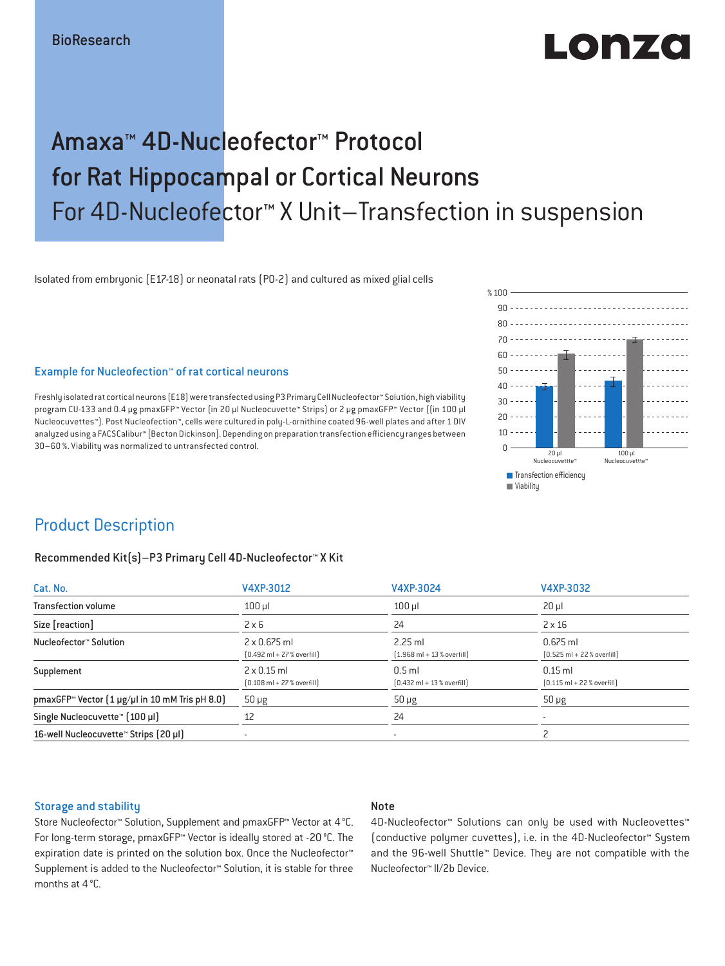# LODZO

## Amaxa™ 4D-Nucleofector™ Protocol for Rat Hippocampal or Cortical Neurons For 4D-Nucleofector™ X Unit–Transfection in suspension

Isolated from embryonic (E17-18) or neonatal rats (P0-2) and cultured as mixed glial cells

**T** Transfection efficiency % $100 -$ 90 80 ---------------- $20 60 -$ 50  $40$ 30  $20 - - - 10 - \Omega$ **Viability** 20 µl Nucleocuvettte™ 100 µl Nucleocuvettte

### Example for Nucleofection™ of rat cortical neurons

Freshly isolated rat cortical neurons (E18) were transfected using P3 Primary Cell Nucleofector™ Solution, high viability program CU-133 and 0.4 μg pmaxGFP™ Vector (in 20 μl Nucleocuvette™ Strips) or 2 µg pmaxGFP™ Vector ((in 100 μl Nucleocuvettes™). Post Nucleofection™, cells were cultured in poly-L-ornithine coated 96-well plates and after 1 DIV analyzed using a FACSCalibur™ [Becton Dickinson]. Depending on preparation transfection efficiency ranges between 30–60 %. Viability was normalized to untransfected control.

### Product Description

### Recommended Kit(s)–P3 Primary Cell 4D-Nucleofector™ X Kit

| Cat. No.                                                          | V4XP-3012                                                           | V4XP-3024                                                 | V4XP-3032                                                  |  |
|-------------------------------------------------------------------|---------------------------------------------------------------------|-----------------------------------------------------------|------------------------------------------------------------|--|
| <b>Transfection volume</b>                                        | $100$ $\mu$                                                         | $100$ $\mu$                                               | $20 \mu$                                                   |  |
| Size [reaction]                                                   | $2 \times 6$                                                        | 24                                                        | $2 \times 16$                                              |  |
| Nucleofector™ Solution                                            | $2 \times 0.675$ ml<br>$[0.492 \text{ ml} + 27 \text{ %} overfill]$ | $2.25$ ml<br>$[1.968 \text{ ml} + 13 \text{ %} overfill]$ | $0.675$ ml<br>$[0.525 \text{ ml} + 22 \text{ %} overfill]$ |  |
| Supplement                                                        | $2 \times 0.15$ ml<br>$[0.108 \text{ ml} + 27 \text{ % overfill}]$  | $0.5$ ml<br>$[0.432 \text{ ml} + 13 \text{ %} overfill]$  | $0.15$ ml<br>$[0.115 \text{ ml} + 22 \text{ % overfill}]$  |  |
| pmaxGFP <sup>*</sup> Vector $(1 \mu g/\mu)$ in 10 mM Tris pH 8.0) | $50 \mu g$                                                          | $50 \mu g$                                                | $50 \mu g$                                                 |  |
| Single Nucleocuvette™ (100 µl)                                    | 12                                                                  | 24                                                        |                                                            |  |
| 16-well Nucleocuvette™ Strips (20 µl)                             | $\overline{\phantom{a}}$                                            | ٠                                                         |                                                            |  |

#### Storage and stability

### Note

Store Nucleofector™ Solution, Supplement and pmaxGFP™ Vector at 4°C. For long-term storage, pmaxGFP™ Vector is ideally stored at -20 °C. The expiration date is printed on the solution box. Once the Nucleofector™ Supplement is added to the Nucleofector™ Solution, it is stable for three months at 4°C.

4D-Nucleofector™ Solutions can only be used with Nucleovettes™ (conductive polymer cuvettes), i.e. in the 4D-Nucleofector™ System and the 96-well Shuttle™ Device. They are not compatible with the Nucleofector™ II/2b Device.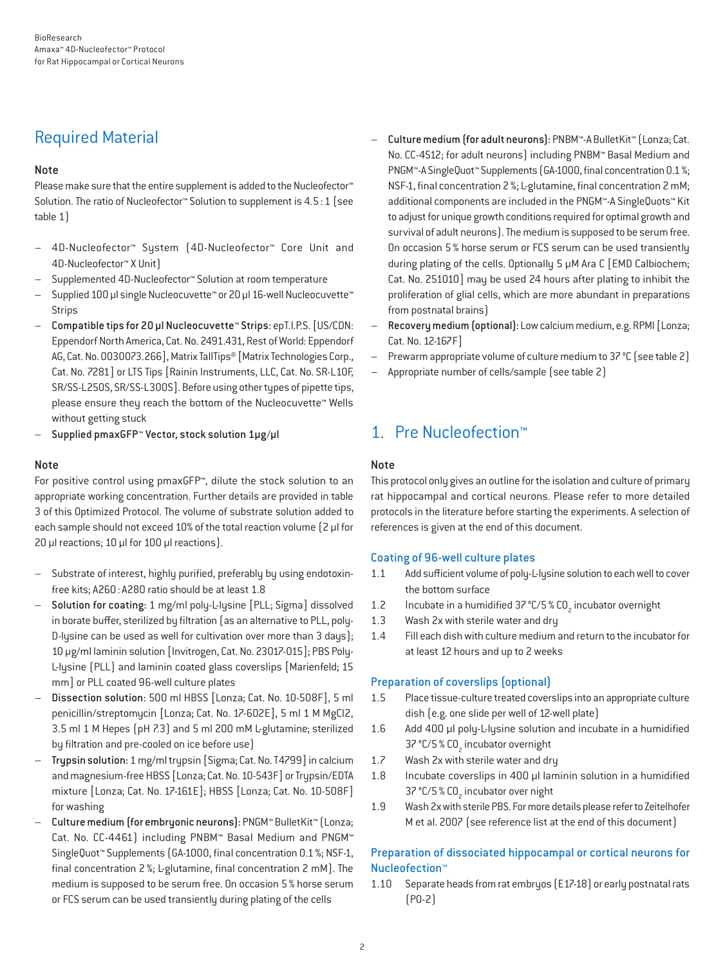## Required Material

### Note

Please make sure that the entire supplement is added to the Nucleofector<sup>™</sup> Solution. The ratio of Nucleofector™ Solution to supplement is 4.5:1 (see table 1)

- 4D-Nucleofector™ System (4D-Nucleofector™ Core Unit and 4D-Nucleofector™ X Unit)
- Supplemented 4D-Nucleofector™ Solution at room temperature
- Supplied 100 µl single Nucleocuvette™ or 20 µl 16-well Nucleocuvette™ Strips
- Compatible tips for 20 µl Nucleocuvette™ Strips: epT.I.P.S. [US/CDN: Eppendorf North America, Cat. No. 2491.431, Rest of World: Eppendorf AG, Cat. No. 0030073.266], Matrix TallTips® [Matrix Technologies Corp., Cat. No. 7281] or LTS Tips [Rainin Instruments, LLC, Cat. No. SR-L10F, SR/SS-L250S, SR/SS-L300S]. Before using other types of pipette tips, please ensure they reach the bottom of the Nucleocuvette™ Wells without getting stuck
- Supplied pmaxGFP™ Vector, stock solution 1µg/µl

### Note

For positive control using pmaxGFP™, dilute the stock solution to an appropriate working concentration. Further details are provided in table 3 of this Optimized Protocol. The volume of substrate solution added to each sample should not exceed 10% of the total reaction volume [2 µl for 20 µl reactions; 10 µl for 100 µl reactions).

- Substrate of interest, highly purified, preferably by using endotoxinfree kits; A260: A280 ratio should be at least 1.8
- Solution for coating: 1 mg/ml poly-L-lysine [PLL; Sigma] dissolved in borate buffer, sterilized by filtration (as an alternative to PLL, poly-D-lysine can be used as well for cultivation over more than 3 days); 10 μg/ml laminin solution [Invitrogen, Cat. No. 23017-015]; PBS Poly-L-lysine (PLL) and laminin coated glass coverslips [Marienfeld; 15 mm] or PLL coated 96-well culture plates
- Dissection solution: 500 ml HBSS [Lonza; Cat. No. 10-508F], 5 ml penicillin/streptomycin [Lonza; Cat. No. 17-602E], 5 ml 1 M MgCl2, 3.5 ml 1 M Hepes (pH 7.3) and 5 ml 200 mM L-glutamine; sterilized by filtration and pre-cooled on ice before use)
- Trypsin solution: 1 mg/ml trypsin [Sigma; Cat. No. T4799] in calcium and magnesium-free HBSS [Lonza; Cat. No. 10-543F] or Trypsin/EDTA mixture [Lonza; Cat. No. 17-161E]; HBSS [Lonza; Cat. No. 10-508F] for washing
- Culture medium (for embryonic neurons): PNGM™ BulletKit™ (Lonza; Cat. No. CC-4461) including PNBM™ Basal Medium and PNGM™ SingleQuot™ Supplements (GA-1000, final concentration 0.1%; NSF-1, final concentration 2 %; L-glutamine, final concentration 2 mM). The medium is supposed to be serum free. On occasion 5% horse serum or FCS serum can be used transiently during plating of the cells
- Culture medium (for adult neurons): PNBM™-A BulletKit™ (Lonza; Cat. No. CC-4512; for adult neurons) including PNBM™ Basal Medium and PNGM™-A SingleQuot™ Supplements (GA-1000, final concentration 0.1 %; NSF-1, final concentration 2%; L-glutamine, final concentration 2 mM; additional components are included in the PNGM™-A SingleQuots™ Kit to adjust for unique growth conditions required for optimal growth and survival of adult neurons). The medium is supposed to be serum free. On occasion 5 % horse serum or FCS serum can be used transiently during plating of the cells. Optionally 5 μM Ara C [EMD Calbiochem; Cat. No. 251010] may be used 24 hours after plating to inhibit the proliferation of glial cells, which are more abundant in preparations from postnatal brains)
- Recovery medium (optional): Low calcium medium, e.g. RPMI [Lonza; Cat. No. 12-167F]
- Prewarm appropriate volume of culture medium to 37 °C (see table 2)
- Appropriate number of cells/sample (see table 2)

### 1. Pre Nucleofection™

### Note

This protocol only gives an outline for the isolation and culture of primary rat hippocampal and cortical neurons. Please refer to more detailed protocols in the literature before starting the experiments. A selection of references is given at the end of this document.

### Coating of 96-well culture plates

- 1.1 Add sufficient volume of poly-L-lysine solution to each well to cover the bottom surface
- 1.2 Incubate in a humidified 37 °C/5 %  $CO<sub>2</sub>$  incubator overnight
- 1.3 Wash 2x with sterile water and dry
- 1.4 Fill each dish with culture medium and return to the incubator for at least 12 hours and up to 2 weeks

### Preparation of coverslips (optional)

- 1.5 Place tissue-culture treated coverslips into an appropriate culture dish (e.g. one slide per well of 12-well plate)
- 1.6 Add 400 μl poly-L-lysine solution and incubate in a humidified 37 °C/5 % CO<sub>2</sub> incubator overnight
- 1.7 Wash 2x with sterile water and dry
- 1.8 Incubate coverslips in 400 μl laminin solution in a humidified 37 °C/5 % CO<sub>2</sub> incubator over night
- 1.9 Wash 2x with sterile PBS. For more details please refer to Zeitelhofer M et al. 2007 (see reference list at the end of this document)

### Preparation of dissociated hippocampal or cortical neurons for Nucleofection™

1.10 Separate heads from rat embryos (E17-18) or early postnatal rats (P0-2)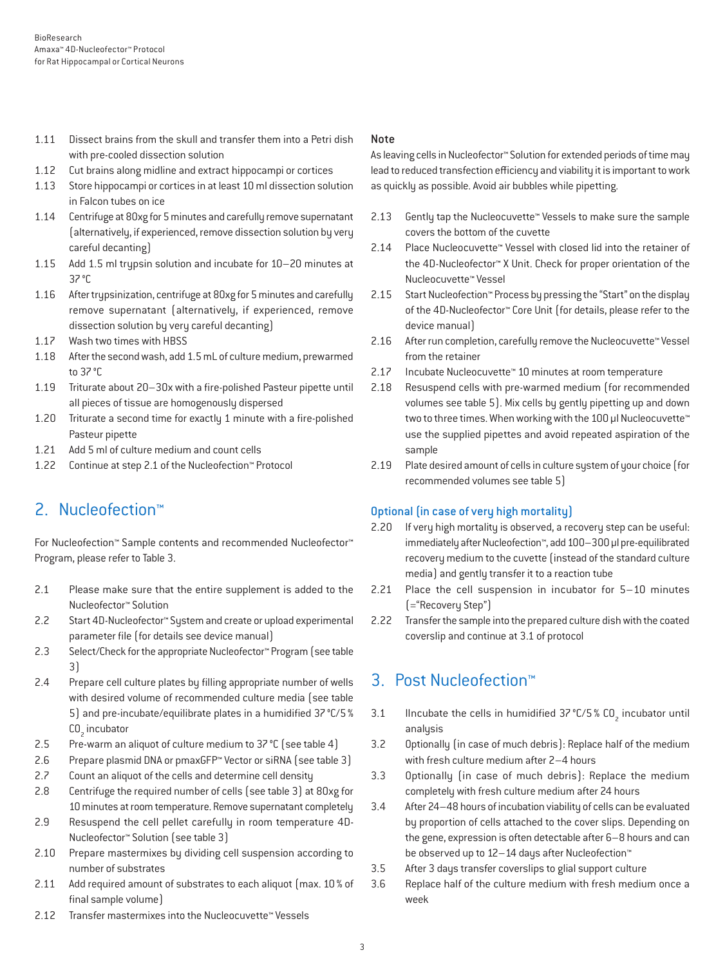- 1.11 Dissect brains from the skull and transfer them into a Petri dish with pre-cooled dissection solution
- 1.12 Cut brains along midline and extract hippocampi or cortices
- 1.13 Store hippocampi or cortices in at least 10 ml dissection solution in Falcon tubes on ice
- 1.14 Centrifuge at 80xg for 5 minutes and carefully remove supernatant (alternatively, if experienced, remove dissection solution by very careful decanting)
- 1.15 Add 1.5 ml trypsin solution and incubate for 10–20 minutes at 37°C
- 1.16 After trypsinization, centrifuge at 80xg for 5 minutes and carefully remove supernatant (alternatively, if experienced, remove dissection solution by very careful decanting)
- 1.17 Wash two times with HBSS
- 1.18 After the second wash, add 1.5 mL of culture medium, prewarmed to 37°C
- 1.19 Triturate about 20–30x with a fire-polished Pasteur pipette until all pieces of tissue are homogenously dispersed
- 1.20 Triturate a second time for exactly 1 minute with a fire-polished Pasteur pipette
- 1.21 Add 5 ml of culture medium and count cells
- 1.22 Continue at step 2.1 of the Nucleofection™ Protocol

## 2. Nucleofection™

For Nucleofection™ Sample contents and recommended Nucleofector™ Program, please refer to Table 3.

- 2.1 Please make sure that the entire supplement is added to the Nucleofector™ Solution
- 2.2 Start 4D-Nucleofector™ System and create or upload experimental parameter file (for details see device manual)
- 2.3 Select/Check for the appropriate Nucleofector™ Program (see table 3)
- 2.4 Prepare cell culture plates by filling appropriate number of wells with desired volume of recommended culture media (see table 5) and pre-incubate/equilibrate plates in a humidified 37°C/5% CO<sub>2</sub> incubator
- 2.5 Pre-warm an aliquot of culture medium to 37 °C (see table 4)
- 2.6 Prepare plasmid DNA or pmaxGFP™ Vector or siRNA (see table 3)
- 2.7 Count an aliquot of the cells and determine cell density
- 2.8 Centrifuge the required number of cells (see table 3) at 80xg for 10 minutes at room temperature. Remove supernatant completely
- 2.9 Resuspend the cell pellet carefully in room temperature 4D-Nucleofector™ Solution (see table 3)
- 2.10 Prepare mastermixes by dividing cell suspension according to number of substrates
- 2.11 Add required amount of substrates to each aliquot (max. 10 % of final sample volume)
- 2.12 Transfer mastermixes into the Nucleocuvette™ Vessels

#### Note

As leaving cells in Nucleofector™ Solution for extended periods of time may lead to reduced transfection efficiency and viability it is important to work as quickly as possible. Avoid air bubbles while pipetting.

- 2.13 Gently tap the Nucleocuvette™ Vessels to make sure the sample covers the bottom of the cuvette
- 2.14 Place Nucleocuvette™ Vessel with closed lid into the retainer of the 4D-Nucleofector™ X Unit. Check for proper orientation of the Nucleocuvette™ Vessel
- 2.15 Start Nucleofection™ Process by pressing the "Start" on the display of the 4D-Nucleofector™ Core Unit (for details, please refer to the device manual)
- 2.16 After run completion, carefully remove the Nucleocuvette™ Vessel from the retainer
- 2.17 Incubate Nucleocuvette™ 10 minutes at room temperature
- 2.18 Resuspend cells with pre-warmed medium (for recommended volumes see table 5). Mix cells by gently pipetting up and down two to three times. When working with the 100 µl Nucleocuvette™ use the supplied pipettes and avoid repeated aspiration of the sample
- 2.19 Plate desired amount of cells in culture system of your choice (for recommended volumes see table 5)

### Optional (in case of very high mortality)

- 2.20 If very high mortality is observed, a recovery step can be useful: immediately after Nucleofection™, add 100–300 μl pre-equilibrated recovery medium to the cuvette (instead of the standard culture media) and gently transfer it to a reaction tube
- 2.21 Place the cell suspension in incubator for 5–10 minutes (="Recovery Step")
- 2.22 Transfer the sample into the prepared culture dish with the coated coverslip and continue at 3.1 of protocol

### 3. Post Nucleofection™

- 3.1 Incubate the cells in humidified  $37^{\circ}$ C/5 % CO<sub>2</sub> incubator until analysis
- 3.2 Optionally (in case of much debris): Replace half of the medium with fresh culture medium after 2–4 hours
- 3.3 Optionally (in case of much debris): Replace the medium completely with fresh culture medium after 24 hours
- 3.4 After 24–48 hours of incubation viability of cells can be evaluated by proportion of cells attached to the cover slips. Depending on the gene, expression is often detectable after 6–8 hours and can be observed up to 12–14 days after Nucleofection™
- 3.5 After 3 days transfer coverslips to glial support culture
- 3.6 Replace half of the culture medium with fresh medium once a week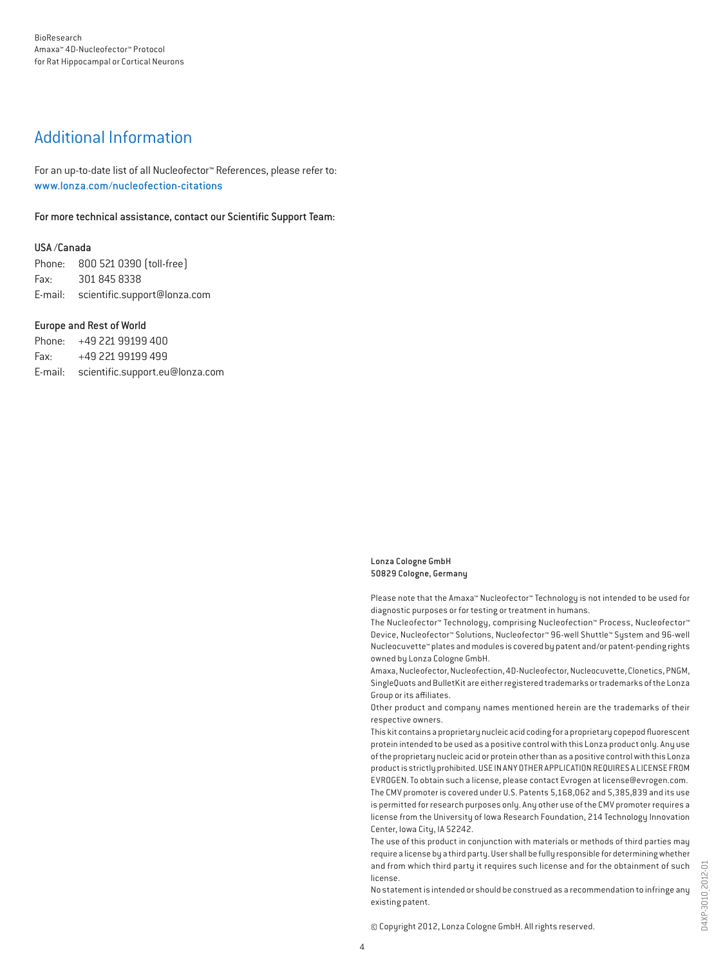### Additional Information

For an up-to-date list of all Nucleofector™ References, please refer to: www.lonza.com/nucleofection-citations

For more technical assistance, contact our Scientific Support Team:

#### USA /Canada

Phone: 800 521 0390 (toll-free) Fax: 301 845 8338 E-mail: scientific.support@lonza.com

#### Europe and Rest of World

Phone: +49 221 99199 400 Fax: +49 221 99199 499 E-mail: scientific.support.eu@lonza.com

#### Lonza Cologne GmbH 50829 Cologne, Germany

Please note that the Amaxa™ Nucleofector™ Technology is not intended to be used for diagnostic purposes or for testing or treatment in humans.

The Nucleofector™ Technology, comprising Nucleofection™ Process, Nucleofector™ Device, Nucleofector™ Solutions, Nucleofector™ 96-well Shuttle™ System and 96-well Nucleocuvette™ plates and modules is covered by patent and/or patent-pending rights owned by Lonza Cologne GmbH.

Amaxa, Nucleofector, Nucleofection, 4D-Nucleofector, Nucleocuvette, Clonetics, PNGM, SingleQuots and BulletKit are either registered trademarks or trademarks of the Lonza Group or its affiliates.

Other product and company names mentioned herein are the trademarks of their respective owners.

This kit contains a proprietary nucleic acid coding for a proprietary copepod fluorescent protein intended to be used as a positive control with this Lonza product only. Any use of the proprietary nucleic acid or protein other than as a positive control with this Lonza product is strictly prohibited. USE IN ANY OTHER APPLICATION REQUIRES A LICENSE FROM EVROGEN. To obtain such a license, please contact Evrogen at license@evrogen.com. The CMV promoter is covered under U.S. Patents 5,168,062 and 5,385,839 and its use is permitted for research purposes only. Any other use of the CMV promoter requires a license from the University of Iowa Research Foundation, 214 Technology Innovation Center, Iowa City, IA 52242.

The use of this product in conjunction with materials or methods of third parties may require a license by a third party. User shall be fully responsible for determining whether and from which third party it requires such license and for the obtainment of such license.

No statement is intended or should be construed as a recommendation to infringe any existing patent.

© Copyright 2012, Lonza Cologne GmbH. All rights reserved.